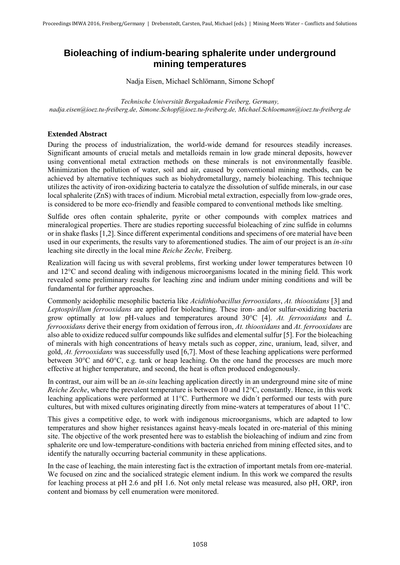## **Bioleaching of indium-bearing sphalerite under underground mining temperatures**

Nadja Eisen, Michael Schlömann, Simone Schopf

*Technische Universität Bergakademie Freiberg, Germany, nadja.eisen@ioez.tu-freiberg.de, Simone.Schopf@ioez.tu-freiberg.de, Michael.Schloemann@ioez.tu-freiberg.de*

## **Extended Abstract**

During the process of industrialization, the world-wide demand for resources steadily increases. Significant amounts of crucial metals and metalloids remain in low grade mineral deposits, however using conventional metal extraction methods on these minerals is not environmentally feasible. Minimization the pollution of water, soil and air, caused by conventional mining methods, can be achieved by alternative techniques such as biohydrometallurgy, namely bioleaching. This technique utilizes the activity of iron-oxidizing bacteria to catalyze the dissolution of sulfide minerals, in our case local sphalerite (ZnS) with traces of indium. Microbial metal extraction, especially from low-grade ores, is considered to be more eco-friendly and feasible compared to conventional methods like smelting.

Sulfide ores often contain sphalerite, pyrite or other compounds with complex matrices and mineralogical properties. There are studies reporting successful bioleaching of zinc sulfide in columns or in shake flasks [1,2]. Since different experimental conditions and specimens of ore material have been used in our experiments, the results vary to aforementioned studies. The aim of our project is an *in-situ* leaching site directly in the local mine *Reiche Zeche,* Freiberg.

Realization will facing us with several problems, first working under lower temperatures between 10 and 12°C and second dealing with indigenous microorganisms located in the mining field. This work revealed some preliminary results for leaching zinc and indium under mining conditions and will be fundamental for further approaches.

Commonly acidophilic mesophilic bacteria like *Acidithiobacillus ferrooxidans*, *At. thiooxidans* [3] and *Leptospirillum ferrooxidans* are applied for bioleaching. These iron- and/or sulfur-oxidizing bacteria grow optimally at low pH-values and temperatures around 30°C [4]. *At. ferrooxidans* and *L. ferrooxidans* derive their energy from oxidation of ferrous iron, *At. thiooxidans* and *At. ferrooxidans* are also able to oxidize reduced sulfur compounds like sulfides and elemental sulfur [5]. For the bioleaching of minerals with high concentrations of heavy metals such as copper, zinc, uranium, lead, silver, and gold, *At. ferrooxidans* was successfully used [6,7]. Most of these leaching applications were performed between 30°C and 60°C, e.g. tank or heap leaching. On the one hand the processes are much more effective at higher temperature, and second, the heat is often produced endogenously.

In contrast, our aim will be an *in-situ* leaching application directly in an underground mine site of mine *Reiche Zeche*, where the prevalent temperature is between 10 and 12<sup>o</sup>C, constantly. Hence, in this work leaching applications were performed at 11°C. Furthermore we didn´t performed our tests with pure cultures, but with mixed cultures originating directly from mine-waters at temperatures of about 11°C.

This gives a competitive edge, to work with indigenous microorganisms, which are adapted to low temperatures and show higher resistances against heavy-meals located in ore-material of this mining site. The objective of the work presented here was to establish the bioleaching of indium and zinc from sphalerite ore und low-temperature-conditions with bacteria enriched from mining effected sites, and to identify the naturally occurring bacterial community in these applications.

In the case of leaching, the main interesting fact is the extraction of important metals from ore-material. We focused on zinc and the socialiced strategic element indium. In this work we compared the results for leaching process at pH 2.6 and pH 1.6. Not only metal release was measured, also pH, ORP, iron content and biomass by cell enumeration were monitored.